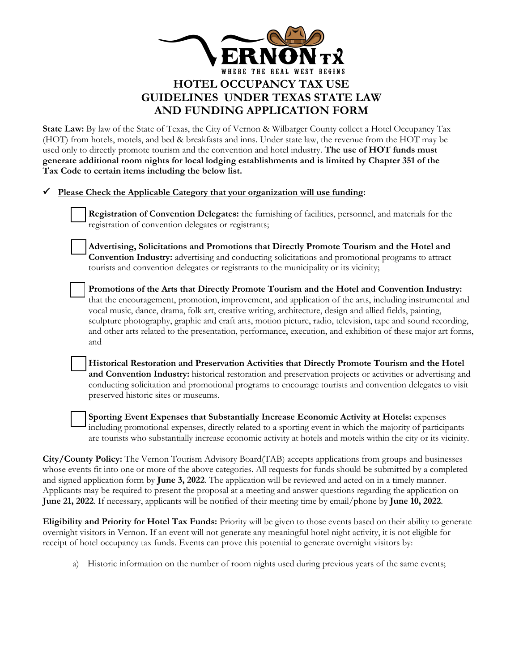

**State Law:** By law of the State of Texas, the City of Vernon & Wilbarger County collect a Hotel Occupancy Tax (HOT) from hotels, motels, and bed & breakfasts and inns. Under state law, the revenue from the HOT may be used only to directly promote tourism and the convention and hotel industry. **The use of HOT funds must generate additional room nights for local lodging establishments and is limited by Chapter 351 of the Tax Code to certain items including the below list.**

**Please Check the Applicable Category that your organization will use funding:**

| <b>Registration of Convention Delegates:</b> the furnishing of facilities, personnel, and materials for the |
|-------------------------------------------------------------------------------------------------------------|
| registration of convention delegates or registrants;                                                        |

**⃝ Advertising, Solicitations and Promotions that Directly Promote Tourism and the Hotel and Convention Industry:** advertising and conducting solicitations and promotional programs to attract tourists and convention delegates or registrants to the municipality or its vicinity;

Promotions of the Arts that Directly Promote Tourism and the Hotel and Convention Industry: that the encouragement, promotion, improvement, and application of the arts, including instrumental and vocal music, dance, drama, folk art, creative writing, architecture, design and allied fields, painting, sculpture photography, graphic and craft arts, motion picture, radio, television, tape and sound recording, and other arts related to the presentation, performance, execution, and exhibition of these major art forms, and

**⃝ Historical Restoration and Preservation Activities that Directly Promote Tourism and the Hotel and Convention Industry:** historical restoration and preservation projects or activities or advertising and conducting solicitation and promotional programs to encourage tourists and convention delegates to visit preserved historic sites or museums.

**Sporting Event Expenses that Substantially Increase Economic Activity at Hotels:** expenses including promotional expenses, directly related to a sporting event in which the majority of participants are tourists who substantially increase economic activity at hotels and motels within the city or its vicinity.

**City/County Policy:** The Vernon Tourism Advisory Board(TAB) accepts applications from groups and businesses whose events fit into one or more of the above categories. All requests for funds should be submitted by a completed and signed application form by **June 3, 2022**. The application will be reviewed and acted on in a timely manner. Applicants may be required to present the proposal at a meeting and answer questions regarding the application on **June 21, 2022**. If necessary, applicants will be notified of their meeting time by email/phone by **June 10, 2022**.

**Eligibility and Priority for Hotel Tax Funds:** Priority will be given to those events based on their ability to generate overnight visitors in Vernon. If an event will not generate any meaningful hotel night activity, it is not eligible for receipt of hotel occupancy tax funds. Events can prove this potential to generate overnight visitors by:

a) Historic information on the number of room nights used during previous years of the same events;